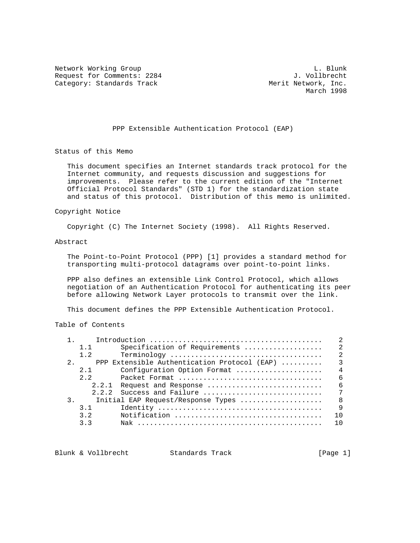Network Working Group and the contract of the contract of the contract of the contract of the contract of the contract of the contract of the contract of the contract of the contract of the contract of the contract of the Request for Comments: 2284 J. Vollbrecht<br>Category: Standards Track and Merit Network, Inc. Category: Standards Track

March 1998

PPP Extensible Authentication Protocol (EAP)

Status of this Memo

 This document specifies an Internet standards track protocol for the Internet community, and requests discussion and suggestions for improvements. Please refer to the current edition of the "Internet Official Protocol Standards" (STD 1) for the standardization state and status of this protocol. Distribution of this memo is unlimited.

## Copyright Notice

Copyright (C) The Internet Society (1998). All Rights Reserved.

## Abstract

 The Point-to-Point Protocol (PPP) [1] provides a standard method for transporting multi-protocol datagrams over point-to-point links.

 PPP also defines an extensible Link Control Protocol, which allows negotiation of an Authentication Protocol for authenticating its peer before allowing Network Layer protocols to transmit over the link.

This document defines the PPP Extensible Authentication Protocol.

# Table of Contents

|     | 1.1     | Specification of Requirements                | 2               |
|-----|---------|----------------------------------------------|-----------------|
|     | 1.2     |                                              | $\mathcal{L}$   |
| 2.1 |         | PPP Extensible Authentication Protocol (EAP) | $\mathcal{L}$   |
|     | 2 1     | Configuration Option Format                  | $\overline{4}$  |
|     | $2 \t2$ |                                              | <u>б</u>        |
|     |         | 2.2.1 Request and Response                   | 6               |
|     |         | 2.2.2 Success and Failure                    | $7\phantom{.0}$ |
|     |         | Initial EAP Request/Response Types           | $\mathsf{R}$    |
|     | 3.1     |                                              | $\mathsf{Q}$    |
|     | 3.2     |                                              | 1 N             |
|     | 3.3     |                                              | 1 በ             |
|     |         |                                              |                 |

Blunk & Vollbrecht Standards Track [Page 1]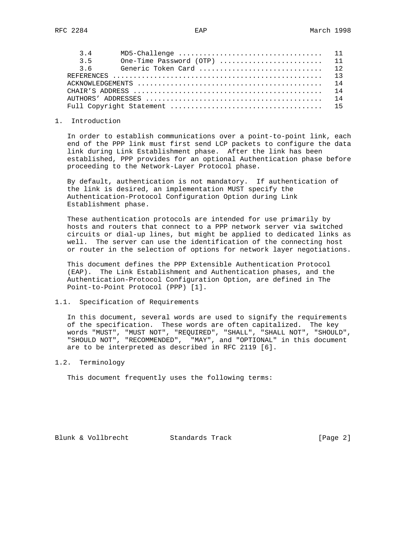| 34  |                             |  |
|-----|-----------------------------|--|
| 3.5 | One-Time Password (OTP)  11 |  |
| 36  |                             |  |
|     |                             |  |
|     |                             |  |
|     |                             |  |
|     |                             |  |
|     |                             |  |
|     |                             |  |

## 1. Introduction

 In order to establish communications over a point-to-point link, each end of the PPP link must first send LCP packets to configure the data link during Link Establishment phase. After the link has been established, PPP provides for an optional Authentication phase before proceeding to the Network-Layer Protocol phase.

 By default, authentication is not mandatory. If authentication of the link is desired, an implementation MUST specify the Authentication-Protocol Configuration Option during Link Establishment phase.

 These authentication protocols are intended for use primarily by hosts and routers that connect to a PPP network server via switched circuits or dial-up lines, but might be applied to dedicated links as well. The server can use the identification of the connecting host or router in the selection of options for network layer negotiations.

 This document defines the PPP Extensible Authentication Protocol (EAP). The Link Establishment and Authentication phases, and the Authentication-Protocol Configuration Option, are defined in The Point-to-Point Protocol (PPP) [1].

# 1.1. Specification of Requirements

 In this document, several words are used to signify the requirements of the specification. These words are often capitalized. The key words "MUST", "MUST NOT", "REQUIRED", "SHALL", "SHALL NOT", "SHOULD", "SHOULD NOT", "RECOMMENDED", "MAY", and "OPTIONAL" in this document are to be interpreted as described in RFC 2119 [6].

1.2. Terminology

This document frequently uses the following terms:

Blunk & Vollbrecht Standards Track [Page 2]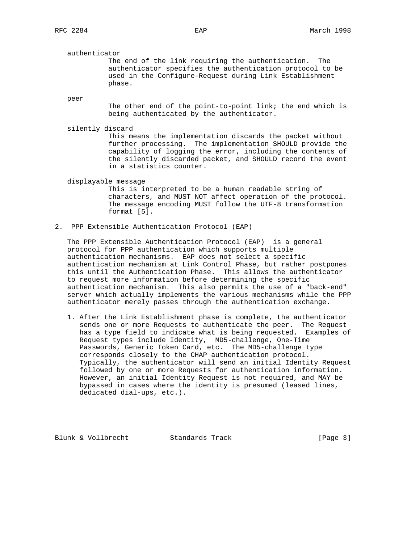#### authenticator

 The end of the link requiring the authentication. The authenticator specifies the authentication protocol to be used in the Configure-Request during Link Establishment phase.

peer

 The other end of the point-to-point link; the end which is being authenticated by the authenticator.

silently discard

 This means the implementation discards the packet without further processing. The implementation SHOULD provide the capability of logging the error, including the contents of the silently discarded packet, and SHOULD record the event in a statistics counter.

displayable message

 This is interpreted to be a human readable string of characters, and MUST NOT affect operation of the protocol. The message encoding MUST follow the UTF-8 transformation format [5].

2. PPP Extensible Authentication Protocol (EAP)

 The PPP Extensible Authentication Protocol (EAP) is a general protocol for PPP authentication which supports multiple authentication mechanisms. EAP does not select a specific authentication mechanism at Link Control Phase, but rather postpones this until the Authentication Phase. This allows the authenticator to request more information before determining the specific authentication mechanism. This also permits the use of a "back-end" server which actually implements the various mechanisms while the PPP authenticator merely passes through the authentication exchange.

 1. After the Link Establishment phase is complete, the authenticator sends one or more Requests to authenticate the peer. The Request has a type field to indicate what is being requested. Examples of Request types include Identity, MD5-challenge, One-Time Passwords, Generic Token Card, etc. The MD5-challenge type corresponds closely to the CHAP authentication protocol. Typically, the authenticator will send an initial Identity Request followed by one or more Requests for authentication information. However, an initial Identity Request is not required, and MAY be bypassed in cases where the identity is presumed (leased lines, dedicated dial-ups, etc.).

Blunk & Vollbrecht Standards Track [Page 3]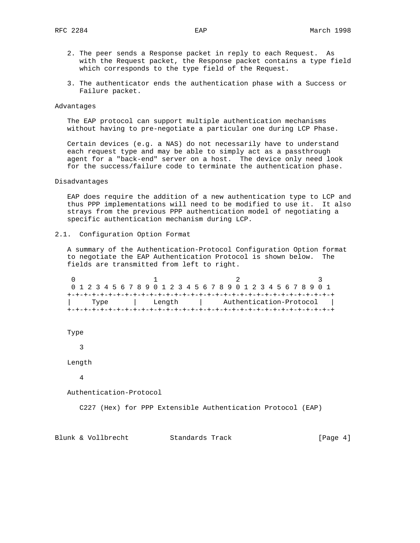- 2. The peer sends a Response packet in reply to each Request. As with the Request packet, the Response packet contains a type field which corresponds to the type field of the Request.
- 3. The authenticator ends the authentication phase with a Success or Failure packet.

## Advantages

 The EAP protocol can support multiple authentication mechanisms without having to pre-negotiate a particular one during LCP Phase.

 Certain devices (e.g. a NAS) do not necessarily have to understand each request type and may be able to simply act as a passthrough agent for a "back-end" server on a host. The device only need look for the success/failure code to terminate the authentication phase.

## Disadvantages

 EAP does require the addition of a new authentication type to LCP and thus PPP implementations will need to be modified to use it. It also strays from the previous PPP authentication model of negotiating a specific authentication mechanism during LCP.

2.1. Configuration Option Format

 A summary of the Authentication-Protocol Configuration Option format to negotiate the EAP Authentication Protocol is shown below. The fields are transmitted from left to right.

| 0 1 2 3 4 5 6 7 8 9 0 1 2 3 4 5 6 7 8 9 0 1 2 3 4 5 6 7 8 9 0 1 |        |  |  |  |  |  |  |  |                         |  |  |  |  |  |  |  |  |  |  |  |  |  |  |  |  |
|-----------------------------------------------------------------|--------|--|--|--|--|--|--|--|-------------------------|--|--|--|--|--|--|--|--|--|--|--|--|--|--|--|--|
|                                                                 |        |  |  |  |  |  |  |  |                         |  |  |  |  |  |  |  |  |  |  |  |  |  |  |  |  |
| Type                                                            | Lenath |  |  |  |  |  |  |  | Authentication-Protocol |  |  |  |  |  |  |  |  |  |  |  |  |  |  |  |  |
|                                                                 |        |  |  |  |  |  |  |  |                         |  |  |  |  |  |  |  |  |  |  |  |  |  |  |  |  |

Type

3

Length

4

Authentication-Protocol

C227 (Hex) for PPP Extensible Authentication Protocol (EAP)

Blunk & Vollbrecht Standards Track [Page 4]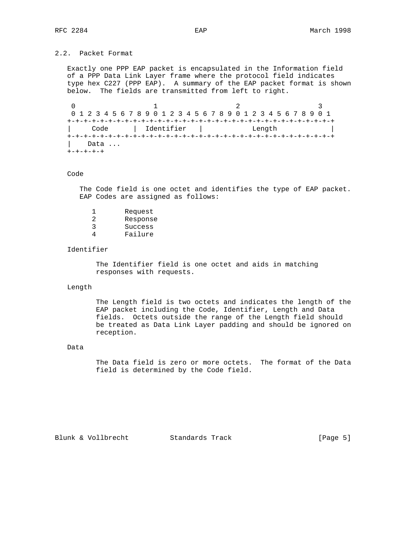# 2.2. Packet Format

 Exactly one PPP EAP packet is encapsulated in the Information field of a PPP Data Link Layer frame where the protocol field indicates type hex C227 (PPP EAP). A summary of the EAP packet format is shown below. The fields are transmitted from left to right.

0  $1$  2 3 0 1 2 3 4 5 6 7 8 9 0 1 2 3 4 5 6 7 8 9 0 1 2 3 4 5 6 7 8 9 0 1 +-+-+-+-+-+-+-+-+-+-+-+-+-+-+-+-+-+-+-+-+-+-+-+-+-+-+-+-+-+-+-+-+ | Code | Identifier | Length | +-+-+-+-+-+-+-+-+-+-+-+-+-+-+-+-+-+-+-+-+-+-+-+-+-+-+-+-+-+-+-+-+ Data ... +-+-+-+-+

# Code

 The Code field is one octet and identifies the type of EAP packet. EAP Codes are assigned as follows:

|   | Request  |
|---|----------|
| 2 | Response |
| 3 | Success  |
|   | Failure  |

#### Identifier

 The Identifier field is one octet and aids in matching responses with requests.

## Length

 The Length field is two octets and indicates the length of the EAP packet including the Code, Identifier, Length and Data fields. Octets outside the range of the Length field should be treated as Data Link Layer padding and should be ignored on reception.

# Data

 The Data field is zero or more octets. The format of the Data field is determined by the Code field.

Blunk & Vollbrecht Standards Track [Page 5]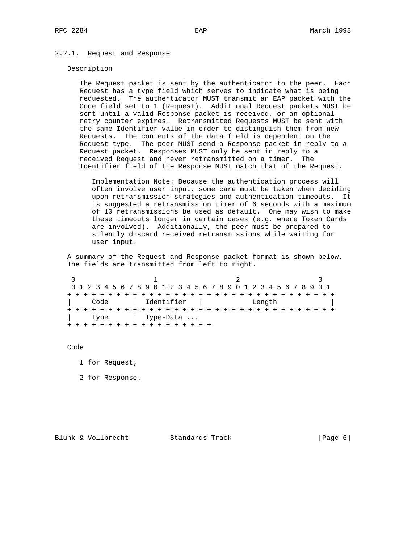# 2.2.1. Request and Response

#### Description

 The Request packet is sent by the authenticator to the peer. Each Request has a type field which serves to indicate what is being requested. The authenticator MUST transmit an EAP packet with the Code field set to 1 (Request). Additional Request packets MUST be sent until a valid Response packet is received, or an optional retry counter expires. Retransmitted Requests MUST be sent with the same Identifier value in order to distinguish them from new Requests. The contents of the data field is dependent on the Request type. The peer MUST send a Response packet in reply to a Request packet. Responses MUST only be sent in reply to a received Request and never retransmitted on a timer. The Identifier field of the Response MUST match that of the Request.

 Implementation Note: Because the authentication process will often involve user input, some care must be taken when deciding upon retransmission strategies and authentication timeouts. It is suggested a retransmission timer of 6 seconds with a maximum of 10 retransmissions be used as default. One may wish to make these timeouts longer in certain cases (e.g. where Token Cards are involved). Additionally, the peer must be prepared to silently discard received retransmissions while waiting for user input.

 A summary of the Request and Response packet format is shown below. The fields are transmitted from left to right.

0  $1$  2 3 0 1 2 3 4 5 6 7 8 9 0 1 2 3 4 5 6 7 8 9 0 1 2 3 4 5 6 7 8 9 0 1 +-+-+-+-+-+-+-+-+-+-+-+-+-+-+-+-+-+-+-+-+-+-+-+-+-+-+-+-+-+-+-+-+ | Code | Identifier | Length | +-+-+-+-+-+-+-+-+-+-+-+-+-+-+-+-+-+-+-+-+-+-+-+-+-+-+-+-+-+-+-+-+ | Type | Type-Data ... +-+-+-+-+-+-+-+-+-+-+-+-+-+-+-+-+-+-

Code

- 1 for Request;
- 2 for Response.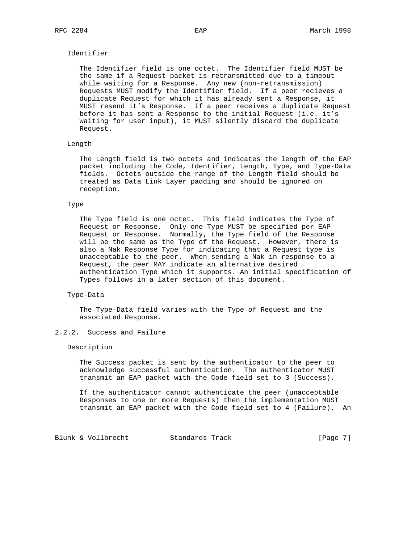# Identifier

 The Identifier field is one octet. The Identifier field MUST be the same if a Request packet is retransmitted due to a timeout while waiting for a Response. Any new (non-retransmission) Requests MUST modify the Identifier field. If a peer recieves a duplicate Request for which it has already sent a Response, it MUST resend it's Response. If a peer receives a duplicate Request before it has sent a Response to the initial Request (i.e. it's waiting for user input), it MUST silently discard the duplicate Request.

#### Length

 The Length field is two octets and indicates the length of the EAP packet including the Code, Identifier, Length, Type, and Type-Data fields. Octets outside the range of the Length field should be treated as Data Link Layer padding and should be ignored on reception.

## Type

 The Type field is one octet. This field indicates the Type of Request or Response. Only one Type MUST be specified per EAP Request or Response. Normally, the Type field of the Response will be the same as the Type of the Request. However, there is also a Nak Response Type for indicating that a Request type is unacceptable to the peer. When sending a Nak in response to a Request, the peer MAY indicate an alternative desired authentication Type which it supports. An initial specification of Types follows in a later section of this document.

#### Type-Data

 The Type-Data field varies with the Type of Request and the associated Response.

# 2.2.2. Success and Failure

# Description

 The Success packet is sent by the authenticator to the peer to acknowledge successful authentication. The authenticator MUST transmit an EAP packet with the Code field set to 3 (Success).

 If the authenticator cannot authenticate the peer (unacceptable Responses to one or more Requests) then the implementation MUST transmit an EAP packet with the Code field set to 4 (Failure). An

Blunk & Vollbrecht Standards Track [Page 7]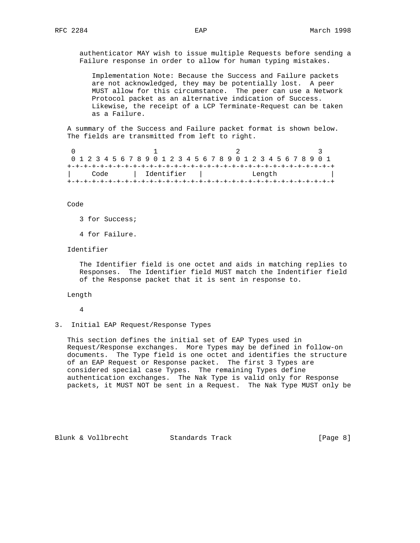authenticator MAY wish to issue multiple Requests before sending a Failure response in order to allow for human typing mistakes.

 Implementation Note: Because the Success and Failure packets are not acknowledged, they may be potentially lost. A peer MUST allow for this circumstance. The peer can use a Network Protocol packet as an alternative indication of Success. Likewise, the receipt of a LCP Terminate-Request can be taken as a Failure.

 A summary of the Success and Failure packet format is shown below. The fields are transmitted from left to right.

| 0 1 2 3 4 5 6 7 8 9 0 1 2 3 4 5 6 7 8 9 0 1 2 3 4 5 6 7 8 9 0 1 |  |  |  |  |  |  |  |              |  |  |  |  |  |  |  |        |  |  |  |  |  |  |  |  |  |  |  |  |  |
|-----------------------------------------------------------------|--|--|--|--|--|--|--|--------------|--|--|--|--|--|--|--|--------|--|--|--|--|--|--|--|--|--|--|--|--|--|
|                                                                 |  |  |  |  |  |  |  |              |  |  |  |  |  |  |  |        |  |  |  |  |  |  |  |  |  |  |  |  |  |
| Code                                                            |  |  |  |  |  |  |  | l Identifier |  |  |  |  |  |  |  | Length |  |  |  |  |  |  |  |  |  |  |  |  |  |
|                                                                 |  |  |  |  |  |  |  |              |  |  |  |  |  |  |  |        |  |  |  |  |  |  |  |  |  |  |  |  |  |

Code

- 3 for Success;
- 4 for Failure.

Identifier

 The Identifier field is one octet and aids in matching replies to Responses. The Identifier field MUST match the Indentifier field of the Response packet that it is sent in response to.

Length

- 4
- 3. Initial EAP Request/Response Types

 This section defines the initial set of EAP Types used in Request/Response exchanges. More Types may be defined in follow-on documents. The Type field is one octet and identifies the structure of an EAP Request or Response packet. The first 3 Types are considered special case Types. The remaining Types define authentication exchanges. The Nak Type is valid only for Response packets, it MUST NOT be sent in a Request. The Nak Type MUST only be

Blunk & Vollbrecht Standards Track [Page 8]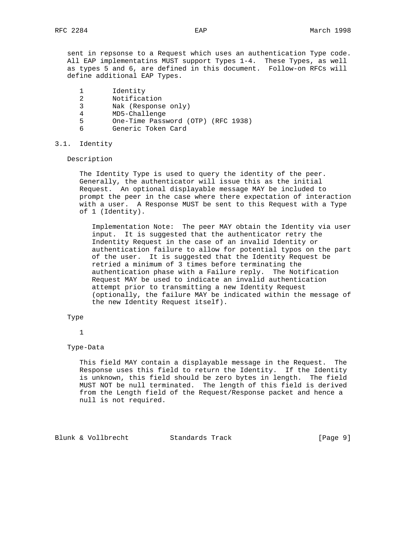sent in repsonse to a Request which uses an authentication Type code. All EAP implementatins MUST support Types 1-4. These Types, as well as types 5 and 6, are defined in this document. Follow-on RFCs will define additional EAP Types.

- 1 Identity<br>2 Notificat
- Notification
- 3 Nak (Response only)
- 4 MD5-Challenge
- 5 One-Time Password (OTP) (RFC 1938)
- 6 Generic Token Card

# 3.1. Identity

Description

 The Identity Type is used to query the identity of the peer. Generally, the authenticator will issue this as the initial Request. An optional displayable message MAY be included to prompt the peer in the case where there expectation of interaction with a user. A Response MUST be sent to this Request with a Type of 1 (Identity).

 Implementation Note: The peer MAY obtain the Identity via user input. It is suggested that the authenticator retry the Indentity Request in the case of an invalid Identity or authentication failure to allow for potential typos on the part of the user. It is suggested that the Identity Request be retried a minimum of 3 times before terminating the authentication phase with a Failure reply. The Notification Request MAY be used to indicate an invalid authentication attempt prior to transmitting a new Identity Request (optionally, the failure MAY be indicated within the message of the new Identity Request itself).

Type

1

Type-Data

 This field MAY contain a displayable message in the Request. The Response uses this field to return the Identity. If the Identity is unknown, this field should be zero bytes in length. The field MUST NOT be null terminated. The length of this field is derived from the Length field of the Request/Response packet and hence a null is not required.

Blunk & Vollbrecht Standards Track [Page 9]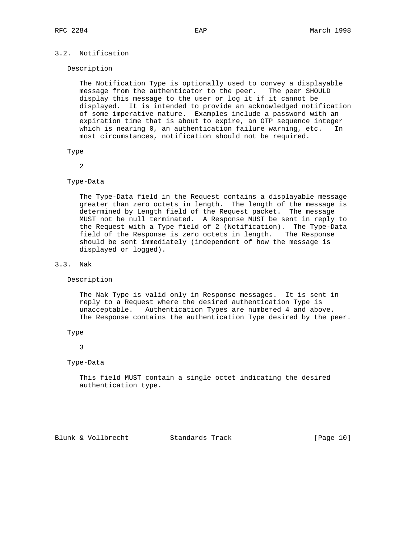# 3.2. Notification

#### Description

 The Notification Type is optionally used to convey a displayable message from the authenticator to the peer. The peer SHOULD display this message to the user or log it if it cannot be displayed. It is intended to provide an acknowledged notification of some imperative nature. Examples include a password with an expiration time that is about to expire, an OTP sequence integer which is nearing 0, an authentication failure warning, etc. In most circumstances, notification should not be required.

#### Type

2

# Type-Data

 The Type-Data field in the Request contains a displayable message greater than zero octets in length. The length of the message is determined by Length field of the Request packet. The message MUST not be null terminated. A Response MUST be sent in reply to the Request with a Type field of 2 (Notification). The Type-Data field of the Response is zero octets in length. The Response should be sent immediately (independent of how the message is displayed or logged).

# 3.3. Nak

Description

 The Nak Type is valid only in Response messages. It is sent in reply to a Request where the desired authentication Type is unacceptable. Authentication Types are numbered 4 and above. The Response contains the authentication Type desired by the peer.

## Type

# 3

## Type-Data

 This field MUST contain a single octet indicating the desired authentication type.

Blunk & Vollbrecht Standards Track [Page 10]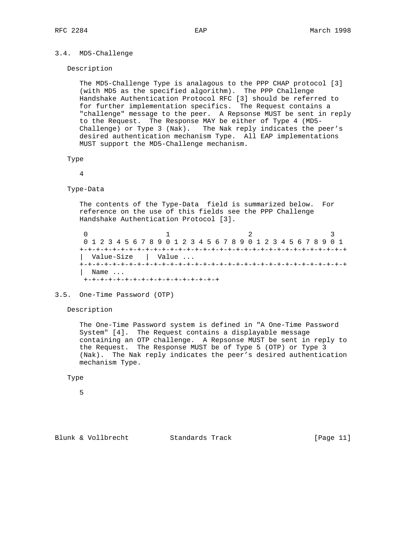# 3.4. MD5-Challenge

Description

 The MD5-Challenge Type is analagous to the PPP CHAP protocol [3] (with MD5 as the specified algorithm). The PPP Challenge Handshake Authentication Protocol RFC [3] should be referred to for further implementation specifics. The Request contains a "challenge" message to the peer. A Repsonse MUST be sent in reply to the Request. The Response MAY be either of Type 4 (MD5- Challenge) or Type 3 (Nak). The Nak reply indicates the peer's desired authentication mechanism Type. All EAP implementations MUST support the MD5-Challenge mechanism.

```
 Type
```
4

Type-Data

 The contents of the Type-Data field is summarized below. For reference on the use of this fields see the PPP Challenge Handshake Authentication Protocol [3].

 $0$  1 2 3 0 1 2 3 4 5 6 7 8 9 0 1 2 3 4 5 6 7 8 9 0 1 2 3 4 5 6 7 8 9 0 1 +-+-+-+-+-+-+-+-+-+-+-+-+-+-+-+-+-+-+-+-+-+-+-+-+-+-+-+-+-+-+-+-+ | Value-Size | Value ... +-+-+-+-+-+-+-+-+-+-+-+-+-+-+-+-+-+-+-+-+-+-+-+-+-+-+-+-+-+-+-+-+ Name ... +-+-+-+-+-+-+-+-+-+-+-+-+-+-+-+-+

3.5. One-Time Password (OTP)

Description

 The One-Time Password system is defined in "A One-Time Password System" [4]. The Request contains a displayable message containing an OTP challenge. A Repsonse MUST be sent in reply to the Request. The Response MUST be of Type 5 (OTP) or Type 3 (Nak). The Nak reply indicates the peer's desired authentication mechanism Type.

# Type

5

Blunk & Vollbrecht Standards Track [Page 11]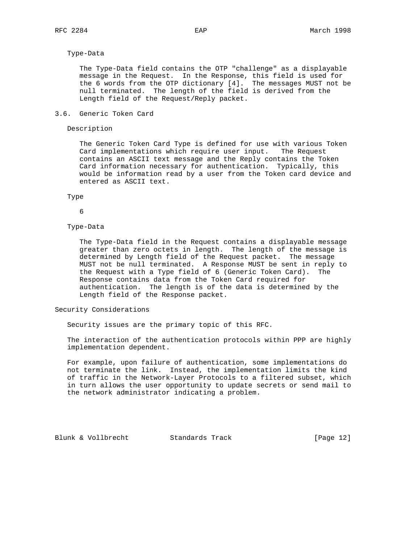## Type-Data

 The Type-Data field contains the OTP "challenge" as a displayable message in the Request. In the Response, this field is used for the 6 words from the OTP dictionary [4]. The messages MUST not be null terminated. The length of the field is derived from the Length field of the Request/Reply packet.

## 3.6. Generic Token Card

# Description

 The Generic Token Card Type is defined for use with various Token Card implementations which require user input. The Request contains an ASCII text message and the Reply contains the Token Card information necessary for authentication. Typically, this would be information read by a user from the Token card device and entered as ASCII text.

Type

# 6

#### Type-Data

 The Type-Data field in the Request contains a displayable message greater than zero octets in length. The length of the message is determined by Length field of the Request packet. The message MUST not be null terminated. A Response MUST be sent in reply to the Request with a Type field of 6 (Generic Token Card). The Response contains data from the Token Card required for authentication. The length is of the data is determined by the Length field of the Response packet.

# Security Considerations

Security issues are the primary topic of this RFC.

 The interaction of the authentication protocols within PPP are highly implementation dependent.

 For example, upon failure of authentication, some implementations do not terminate the link. Instead, the implementation limits the kind of traffic in the Network-Layer Protocols to a filtered subset, which in turn allows the user opportunity to update secrets or send mail to the network administrator indicating a problem.

Blunk & Vollbrecht Standards Track [Page 12]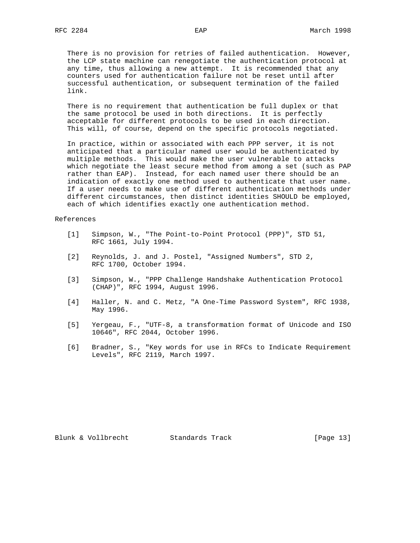There is no provision for retries of failed authentication. However, the LCP state machine can renegotiate the authentication protocol at any time, thus allowing a new attempt. It is recommended that any counters used for authentication failure not be reset until after successful authentication, or subsequent termination of the failed link.

 There is no requirement that authentication be full duplex or that the same protocol be used in both directions. It is perfectly acceptable for different protocols to be used in each direction. This will, of course, depend on the specific protocols negotiated.

 In practice, within or associated with each PPP server, it is not anticipated that a particular named user would be authenticated by multiple methods. This would make the user vulnerable to attacks which negotiate the least secure method from among a set (such as PAP rather than EAP). Instead, for each named user there should be an indication of exactly one method used to authenticate that user name. If a user needs to make use of different authentication methods under different circumstances, then distinct identities SHOULD be employed, each of which identifies exactly one authentication method.

## References

- [1] Simpson, W., "The Point-to-Point Protocol (PPP)", STD 51, RFC 1661, July 1994.
- [2] Reynolds, J. and J. Postel, "Assigned Numbers", STD 2, RFC 1700, October 1994.
- [3] Simpson, W., "PPP Challenge Handshake Authentication Protocol (CHAP)", RFC 1994, August 1996.
- [4] Haller, N. and C. Metz, "A One-Time Password System", RFC 1938, May 1996.
- [5] Yergeau, F., "UTF-8, a transformation format of Unicode and ISO 10646", RFC 2044, October 1996.
- [6] Bradner, S., "Key words for use in RFCs to Indicate Requirement Levels", RFC 2119, March 1997.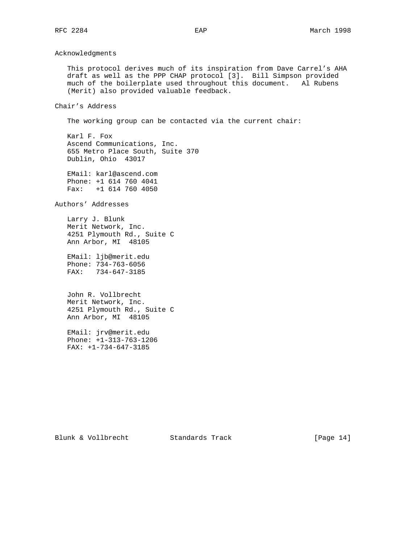Acknowledgments

 This protocol derives much of its inspiration from Dave Carrel's AHA draft as well as the PPP CHAP protocol [3]. Bill Simpson provided much of the boilerplate used throughout this document. Al Rubens (Merit) also provided valuable feedback.

Chair's Address

The working group can be contacted via the current chair:

 Karl F. Fox Ascend Communications, Inc. 655 Metro Place South, Suite 370 Dublin, Ohio 43017

 EMail: karl@ascend.com Phone: +1 614 760 4041 Fax: +1 614 760 4050

Authors' Addresses

 Larry J. Blunk Merit Network, Inc. 4251 Plymouth Rd., Suite C Ann Arbor, MI 48105

 EMail: ljb@merit.edu Phone: 734-763-6056 FAX: 734-647-3185

 John R. Vollbrecht Merit Network, Inc. 4251 Plymouth Rd., Suite C Ann Arbor, MI 48105

 EMail: jrv@merit.edu Phone: +1-313-763-1206 FAX: +1-734-647-3185

Blunk & Vollbrecht Standards Track [Page 14]